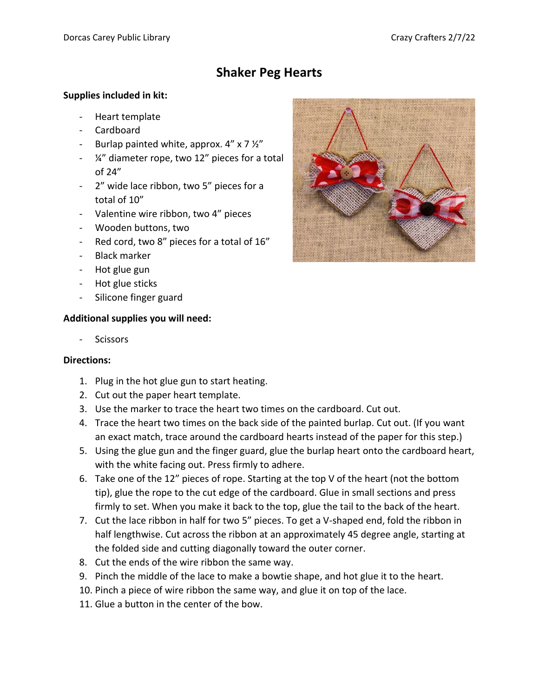## **Shaker Peg Hearts**

## **Supplies included in kit:**

- Heart template
- Cardboard
- Burlap painted white, approx.  $4'' \times 7 \frac{1}{2}''$
- ¼" diameter rope, two 12" pieces for a total of 24"
- 2" wide lace ribbon, two 5" pieces for a total of 10"
- Valentine wire ribbon, two 4" pieces
- Wooden buttons, two
- Red cord, two 8" pieces for a total of 16"
- Black marker
- Hot glue gun
- Hot glue sticks
- Silicone finger guard

## **Additional supplies you will need:**

**Scissors** 

## **Directions:**

- 1. Plug in the hot glue gun to start heating.
- 2. Cut out the paper heart template.
- 3. Use the marker to trace the heart two times on the cardboard. Cut out.
- 4. Trace the heart two times on the back side of the painted burlap. Cut out. (If you want an exact match, trace around the cardboard hearts instead of the paper for this step.)
- 5. Using the glue gun and the finger guard, glue the burlap heart onto the cardboard heart, with the white facing out. Press firmly to adhere.
- 6. Take one of the 12" pieces of rope. Starting at the top V of the heart (not the bottom tip), glue the rope to the cut edge of the cardboard. Glue in small sections and press firmly to set. When you make it back to the top, glue the tail to the back of the heart.
- 7. Cut the lace ribbon in half for two 5" pieces. To get a V-shaped end, fold the ribbon in half lengthwise. Cut across the ribbon at an approximately 45 degree angle, starting at the folded side and cutting diagonally toward the outer corner.
- 8. Cut the ends of the wire ribbon the same way.
- 9. Pinch the middle of the lace to make a bowtie shape, and hot glue it to the heart.
- 10. Pinch a piece of wire ribbon the same way, and glue it on top of the lace.
- 11. Glue a button in the center of the bow.